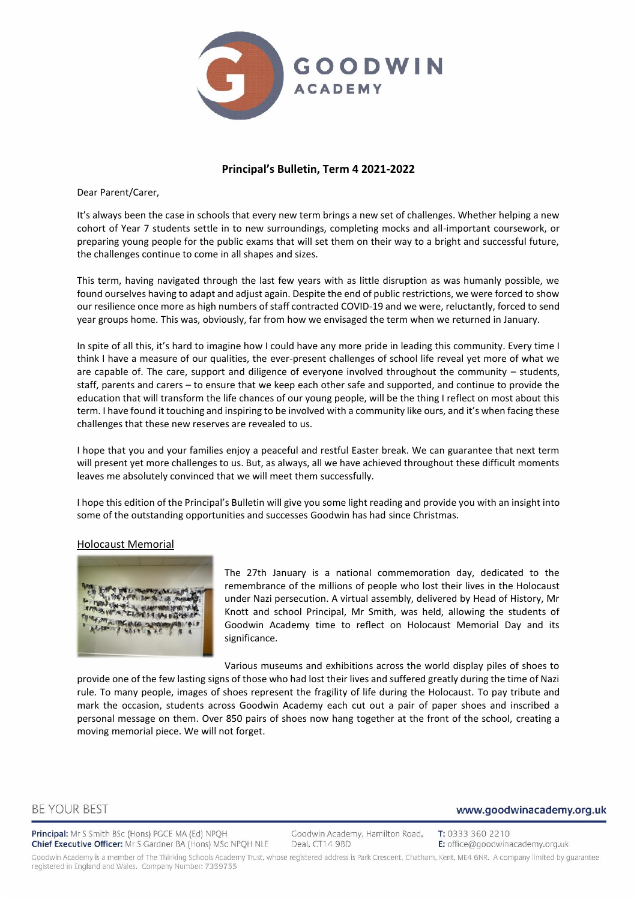

#### **Principal's Bulletin, Term 4 2021-2022**

Dear Parent/Carer,

It's always been the case in schools that every new term brings a new set of challenges. Whether helping a new cohort of Year 7 students settle in to new surroundings, completing mocks and all-important coursework, or preparing young people for the public exams that will set them on their way to a bright and successful future, the challenges continue to come in all shapes and sizes.

This term, having navigated through the last few years with as little disruption as was humanly possible, we found ourselves having to adapt and adjust again. Despite the end of public restrictions, we were forced to show our resilience once more as high numbers of staff contracted COVID-19 and we were, reluctantly, forced to send year groups home. This was, obviously, far from how we envisaged the term when we returned in January.

In spite of all this, it's hard to imagine how I could have any more pride in leading this community. Every time I think I have a measure of our qualities, the ever-present challenges of school life reveal yet more of what we are capable of. The care, support and diligence of everyone involved throughout the community – students, staff, parents and carers – to ensure that we keep each other safe and supported, and continue to provide the education that will transform the life chances of our young people, will be the thing I reflect on most about this term. I have found it touching and inspiring to be involved with a community like ours, and it's when facing these challenges that these new reserves are revealed to us.

I hope that you and your families enjoy a peaceful and restful Easter break. We can guarantee that next term will present yet more challenges to us. But, as always, all we have achieved throughout these difficult moments leaves me absolutely convinced that we will meet them successfully.

I hope this edition of the Principal's Bulletin will give you some light reading and provide you with an insight into some of the outstanding opportunities and successes Goodwin has had since Christmas.

#### Holocaust Memorial



The 27th January is a national commemoration day, dedicated to the remembrance of the millions of people who lost their lives in the Holocaust under Nazi persecution. A virtual assembly, delivered by Head of History, Mr Knott and school Principal, Mr Smith, was held, allowing the students of Goodwin Academy time to reflect on Holocaust Memorial Day and its significance.

Various museums and exhibitions across the world display piles of shoes to provide one of the few lasting signs of those who had lost their lives and suffered greatly during the time of Nazi rule. To many people, images of shoes represent the fragility of life during the Holocaust. To pay tribute and mark the occasion, students across Goodwin Academy each cut out a pair of paper shoes and inscribed a personal message on them. Over 850 pairs of shoes now hang together at the front of the school, creating a moving memorial piece. We will not forget.

#### **BE YOUR BEST**

Principal: Mr S Smith BSc (Hons) PGCE MA (Ed) NPQH Chief Executive Officer: Mr S Gardner BA (Hons) MSc NPQH NLE

Goodwin Academy, Hamilton Road, Deal, CT14 9BD

T: 0333 360 2210 E: office@goodwinacademy.org.uk

www.goodwinacademy.org.uk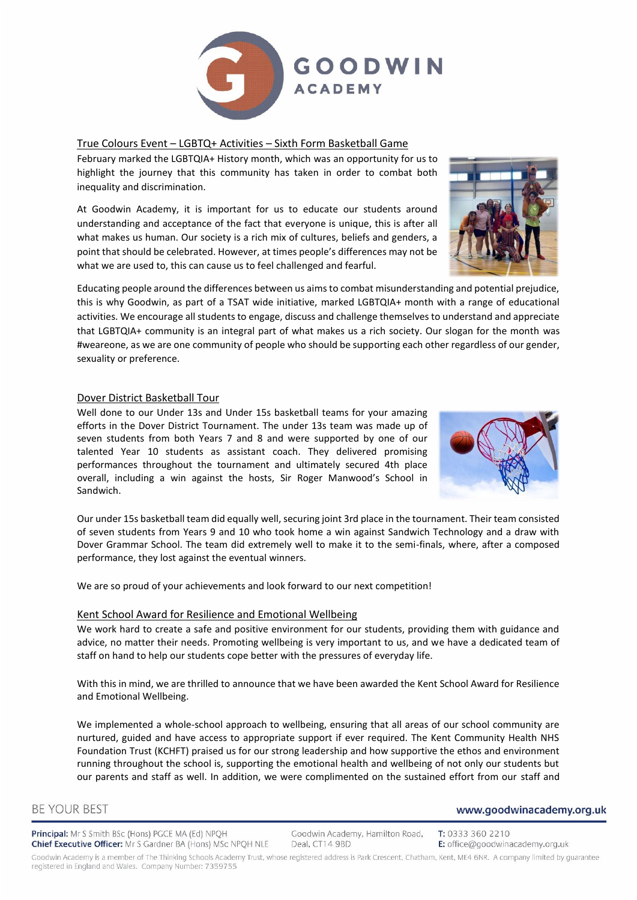

#### True Colours Event – LGBTQ+ Activities – Sixth Form Basketball Game

February marked the LGBTQIA+ History month, which was an opportunity for us to highlight the journey that this community has taken in order to combat both inequality and discrimination.

At Goodwin Academy, it is important for us to educate our students around understanding and acceptance of the fact that everyone is unique, this is after all what makes us human. Our society is a rich mix of cultures, beliefs and genders, a point that should be celebrated. However, at times people's differences may not be what we are used to, this can cause us to feel challenged and fearful.

Educating people around the differences between us aims to combat misunderstanding and potential prejudice, this is why Goodwin, as part of a TSAT wide initiative, marked LGBTQIA+ month with a range of educational activities. We encourage all students to engage, discuss and challenge themselves to understand and appreciate that LGBTQIA+ community is an integral part of what makes us a rich society. Our slogan for the month was #weareone, as we are one community of people who should be supporting each other regardless of our gender, sexuality or preference.

#### Dover District Basketball Tour

Well done to our Under 13s and Under 15s basketball teams for your amazing efforts in the Dover District Tournament. The under 13s team was made up of seven students from both Years 7 and 8 and were supported by one of our talented Year 10 students as assistant coach. They delivered promising performances throughout the tournament and ultimately secured 4th place overall, including a win against the hosts, Sir Roger Manwood's School in Sandwich.



Our under 15s basketball team did equally well, securing joint 3rd place in the tournament. Their team consisted of seven students from Years 9 and 10 who took home a win against Sandwich Technology and a draw with Dover Grammar School. The team did extremely well to make it to the semi-finals, where, after a composed performance, they lost against the eventual winners.

We are so proud of your achievements and look forward to our next competition!

#### Kent School Award for Resilience and Emotional Wellbeing

We work hard to create a safe and positive environment for our students, providing them with guidance and advice, no matter their needs. Promoting wellbeing is very important to us, and we have a dedicated team of staff on hand to help our students cope better with the pressures of everyday life.

With this in mind, we are thrilled to announce that we have been awarded the Kent School Award for Resilience and Emotional Wellbeing.

We implemented a whole-school approach to wellbeing, ensuring that all areas of our school community are nurtured, guided and have access to appropriate support if ever required. The Kent Community Health NHS Foundation Trust (KCHFT) praised us for our strong leadership and how supportive the ethos and environment running throughout the school is, supporting the emotional health and wellbeing of not only our students but our parents and staff as well. In addition, we were complimented on the sustained effort from our staff and

#### **BE YOUR BEST**

Principal: Mr S Smith BSc (Hons) PGCE MA (Ed) NPQH Chief Executive Officer: Mr S Gardner BA (Hons) MSc NPQH NLE

Goodwin Academy, Hamilton Road, Deal, CT14 9BD

T: 0333 360 2210 E: office@goodwinacademy.org.uk

www.goodwinacademy.org.uk

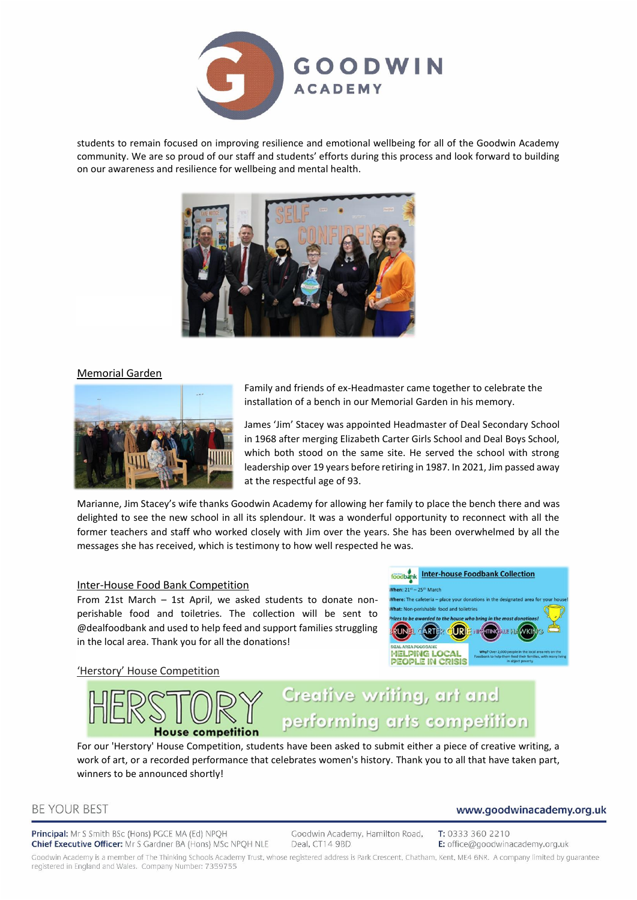

students to remain focused on improving resilience and emotional wellbeing for all of the Goodwin Academy community. We are so proud of our staff and students' efforts during this process and look forward to building on our awareness and resilience for wellbeing and mental health.



#### Memorial Garden



Family and friends of ex-Headmaster came together to celebrate the installation of a bench in our Memorial Garden in his memory.

James 'Jim' Stacey was appointed Headmaster of Deal Secondary School in 1968 after merging Elizabeth Carter Girls School and Deal Boys School, which both stood on the same site. He served the school with strong leadership over 19 years before retiring in 1987. In 2021, Jim passed away at the respectful age of 93.

Marianne, Jim Stacey's wife thanks Goodwin Academy for allowing her family to place the bench there and was delighted to see the new school in all its splendour. It was a wonderful opportunity to reconnect with all the former teachers and staff who worked closely with Jim over the years. She has been overwhelmed by all the messages she has received, which is testimony to how well respected he was.

#### Inter-House Food Bank Competition

From 21st March – 1st April, we asked students to donate nonperishable food and toiletries. The collection will be sent to @dealfoodbank and used to help feed and support families struggling in the local area. Thank you for all the donations!

#### 'Herstory' House Competition



# touse competition

# Creative writing, art and performing arts competition

For our 'Herstory' House Competition, students have been asked to submit either a piece of creative writing, a work of art, or a recorded performance that celebrates women's history. Thank you to all that have taken part, winners to be announced shortly!

# **BE YOUR BEST**

Principal: Mr S Smith BSc (Hons) PGCE MA (Ed) NPQH Chief Executive Officer: Mr S Gardner BA (Hons) MSc NPQH NLE

Goodwin Academy, Hamilton Road, Deal, CT14 9BD

T: 0333 360 2210 E: office@goodwinacademy.org.uk

www.goodwinacademy.org.uk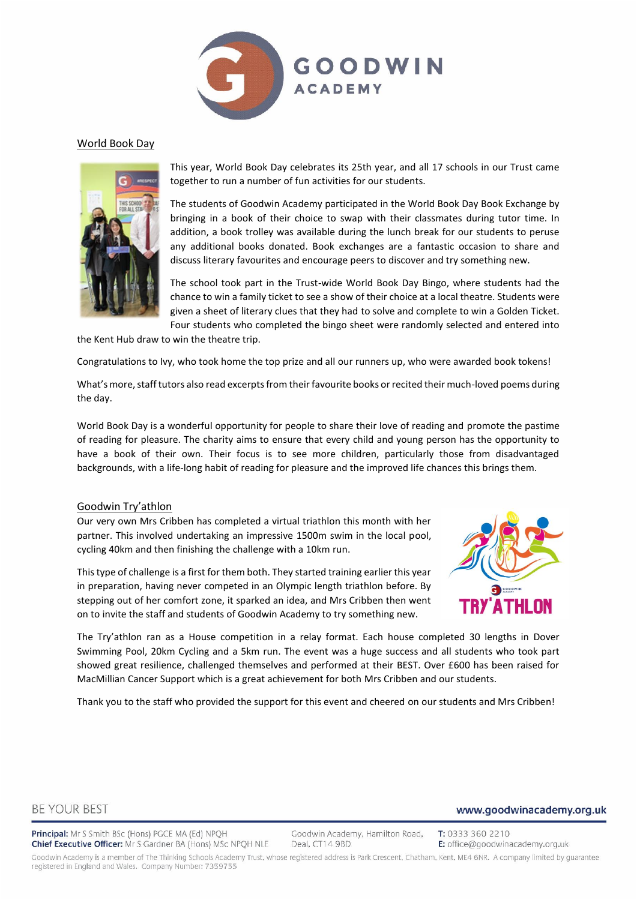

#### World Book Day



This year, World Book Day celebrates its 25th year, and all 17 schools in our Trust came together to run a number of fun activities for our students.

The students of Goodwin Academy participated in the World Book Day Book Exchange by bringing in a book of their choice to swap with their classmates during tutor time. In addition, a book trolley was available during the lunch break for our students to peruse any additional books donated. Book exchanges are a fantastic occasion to share and discuss literary favourites and encourage peers to discover and try something new.

The school took part in the Trust-wide World Book Day Bingo, where students had the chance to win a family ticket to see a show of their choice at a local theatre. Students were given a sheet of literary clues that they had to solve and complete to win a Golden Ticket. Four students who completed the bingo sheet were randomly selected and entered into

the Kent Hub draw to win the theatre trip.

Congratulations to Ivy, who took home the top prize and all our runners up, who were awarded book tokens!

What's more, staff tutors also read excerpts from their favourite books or recited their much-loved poems during the day.

World Book Day is a wonderful opportunity for people to share their love of reading and promote the pastime of reading for pleasure. The charity aims to ensure that every child and young person has the opportunity to have a book of their own. Their focus is to see more children, particularly those from disadvantaged backgrounds, with a life-long habit of reading for pleasure and the improved life chances this brings them.

#### Goodwin Try'athlon

Our very own Mrs Cribben has completed a virtual triathlon this month with her partner. This involved undertaking an impressive 1500m swim in the local pool, cycling 40km and then finishing the challenge with a 10km run.

This type of challenge is a first for them both. They started training earlier this year in preparation, having never competed in an Olympic length triathlon before. By stepping out of her comfort zone, it sparked an idea, and Mrs Cribben then went on to invite the staff and students of Goodwin Academy to try something new.



The Try'athlon ran as a House competition in a relay format. Each house completed 30 lengths in Dover Swimming Pool, 20km Cycling and a 5km run. The event was a huge success and all students who took part showed great resilience, challenged themselves and performed at their BEST. Over £600 has been raised for MacMillian Cancer Support which is a great achievement for both Mrs Cribben and our students.

Thank you to the staff who provided the support for this event and cheered on our students and Mrs Cribben!

#### **BE YOUR BEST**

Principal: Mr S Smith BSc (Hons) PGCE MA (Ed) NPQH Chief Executive Officer: Mr S Gardner BA (Hons) MSc NPQH NLE

Goodwin Academy, Hamilton Road, Deal, CT14 9BD

T: 0333 360 2210 E: office@goodwinacademy.org.uk

www.goodwinacademy.org.uk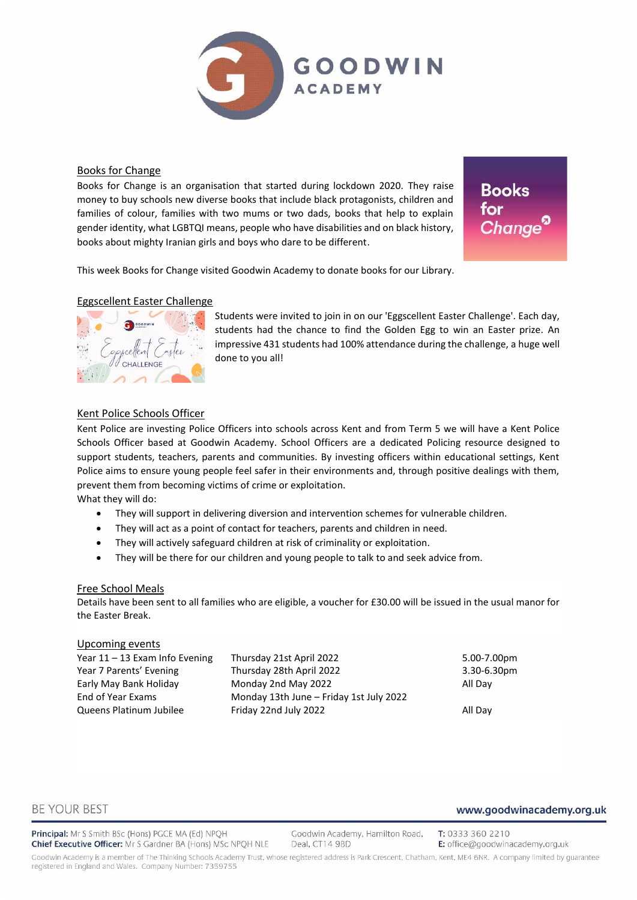

#### Books for Change

Books for Change is an organisation that started during lockdown 2020. They raise money to buy schools new diverse books that include black protagonists, children and families of colour, families with two mums or two dads, books that help to explain gender identity, what LGBTQI means, people who have disabilities and on black history, books about mighty Iranian girls and boys who dare to be different.

**Books** for

This week Books for Change visited Goodwin Academy to donate books for our Library.

#### Eggscellent Easter Challenge



Students were invited to join in on our 'Eggscellent Easter Challenge'. Each day, students had the chance to find the Golden Egg to win an Easter prize. An impressive 431 students had 100% attendance during the challenge, a huge well done to you all!

#### Kent Police Schools Officer

Kent Police are investing Police Officers into schools across Kent and from Term 5 we will have a Kent Police Schools Officer based at Goodwin Academy. School Officers are a dedicated Policing resource designed to support students, teachers, parents and communities. By investing officers within educational settings, Kent Police aims to ensure young people feel safer in their environments and, through positive dealings with them, prevent them from becoming victims of crime or exploitation.

What they will do:

- They will support in delivering diversion and intervention schemes for vulnerable children.
- They will act as a point of contact for teachers, parents and children in need.
- They will actively safeguard children at risk of criminality or exploitation.
- They will be there for our children and young people to talk to and seek advice from.

#### Free School Meals

Details have been sent to all families who are eligible, a voucher for £30.00 will be issued in the usual manor for the Easter Break.

#### Upcoming events

| Year $11 - 13$ Exam Info Evening | Thursday 21st April 2022                | 5.00-7.00pm |
|----------------------------------|-----------------------------------------|-------------|
| Year 7 Parents' Evening          | Thursday 28th April 2022                | 3.30-6.30pm |
| Early May Bank Holiday           | Monday 2nd May 2022                     | All Dav     |
| End of Year Exams                | Monday 13th June - Friday 1st July 2022 |             |
| Queens Platinum Jubilee          | Friday 22nd July 2022                   | All Day     |

#### **BE YOUR BEST**

#### Principal: Mr S Smith BSc (Hons) PGCE MA (Ed) NPQH Chief Executive Officer: Mr S Gardner BA (Hons) MSc NPQH NLE

Goodwin Academy, Hamilton Road, Deal, CT14 9BD

T: 0333 360 2210 E: office@goodwinacademy.org.uk

www.goodwinacademy.org.uk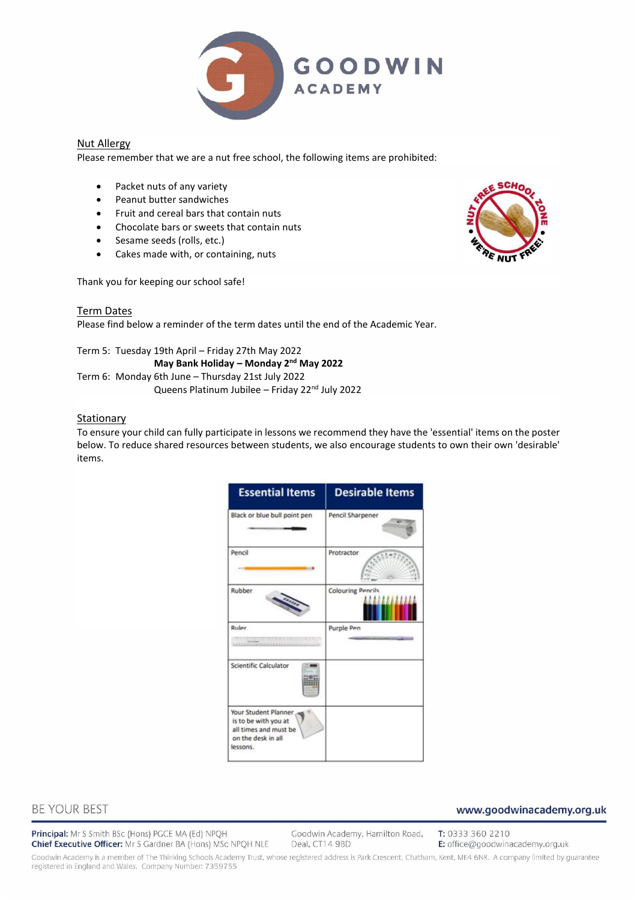

#### Nut Allergy

Please remember that we are a nut free school, the following items are prohibited:

- Packet nuts of any variety
- Peanut butter sandwiches
- Fruit and cereal bars that contain nuts
- Chocolate bars or sweets that contain nuts
- Sesame seeds (rolls, etc.)
- Cakes made with, or containing, nuts

Thank you for keeping our school safe!

#### Term Dates

Please find below a reminder of the term dates until the end of the Academic Year.

Term 5: Tuesday 19th April – Friday 27th May 2022 **May Bank Holiday – Monday 2nd May 2022** Term 6: Monday 6th June – Thursday 21st July 2022 Queens Platinum Jubilee - Friday 22<sup>nd</sup> July 2022

#### **Stationary**

To ensure your child can fully participate in lessons we recommend they have the 'essential' items on the poster below. To reduce shared resources between students, we also encourage students to own their own 'desirable' items.

| <b>Essential Items</b>                                                                                  | <b>Desirable Items</b>   |
|---------------------------------------------------------------------------------------------------------|--------------------------|
| Black or blue bull point pen                                                                            | Pencil Sharpener         |
| Pencil                                                                                                  | Protractor               |
| <b>Rubber</b>                                                                                           | <b>Colouring Pencils</b> |
| <b>Ruler</b>                                                                                            | Purple Pen               |
| Scientific Calculator                                                                                   |                          |
| Your Student Planner<br>is to be with you at<br>all times and must be<br>on the desk in all<br>lessons. |                          |

# **BE YOUR BEST**

Principal: Mr S Smith BSc (Hons) PGCE MA (Ed) NPQH Chief Executive Officer: Mr S Gardner BA (Hons) MSc NPQH NLE Goodwin Academy, Hamilton Road, Deal, CT14 9BD

T: 0333 360 2210 E: office@goodwinacademy.org.uk

www.goodwinacademy.org.uk